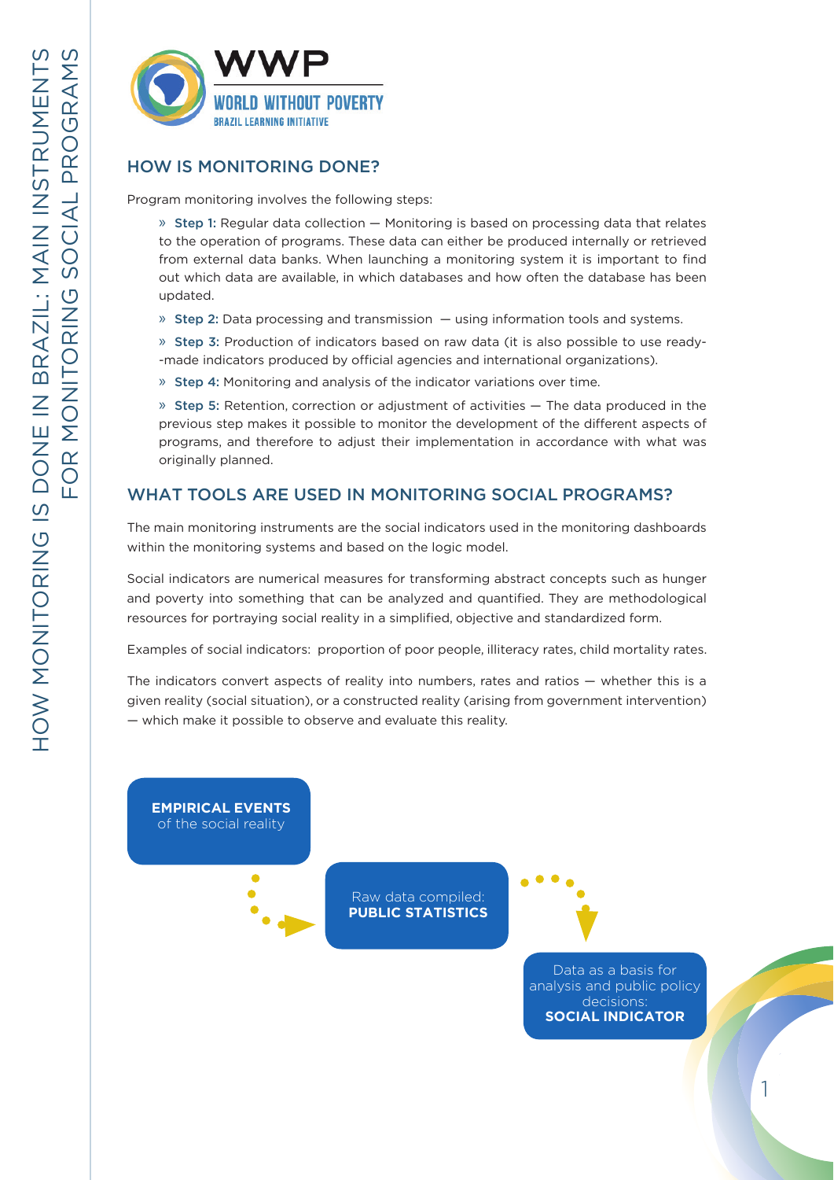

## HOW IS MONITORING DONE?

Program monitoring involves the following steps:

» Step 1: Regular data collection — Monitoring is based on processing data that relates to the operation of programs. These data can either be produced internally or retrieved from external data banks. When launching a monitoring system it is important to find out which data are available, in which databases and how often the database has been updated.

 $\rightarrow$  Step 2: Data processing and transmission  $-$  using information tools and systems.

» Step 3: Production of indicators based on raw data (it is also possible to use ready- -made indicators produced by official agencies and international organizations).

» Step 4: Monitoring and analysis of the indicator variations over time.

» Step 5: Retention, correction or adjustment of activities — The data produced in the previous step makes it possible to monitor the development of the different aspects of programs, and therefore to adjust their implementation in accordance with what was originally planned.

# WHAT TOOLS ARE USED IN MONITORING SOCIAL PROGRAMS?

The main monitoring instruments are the social indicators used in the monitoring dashboards within the monitoring systems and based on the logic model.

Social indicators are numerical measures for transforming abstract concepts such as hunger and poverty into something that can be analyzed and quantified. They are methodological resources for portraying social reality in a simplified, objective and standardized form.

Examples of social indicators: proportion of poor people, illiteracy rates, child mortality rates.

The indicators convert aspects of reality into numbers, rates and ratios — whether this is a given reality (social situation), or a constructed reality (arising from government intervention) — which make it possible to observe and evaluate this reality.

**EMPIRICAL EVENTS** of the social reality

> Raw data compiled: **PUBLIC STATISTICS**



Data as a basis for analysis and public policy decisions: **SOCIAL INDICATOR**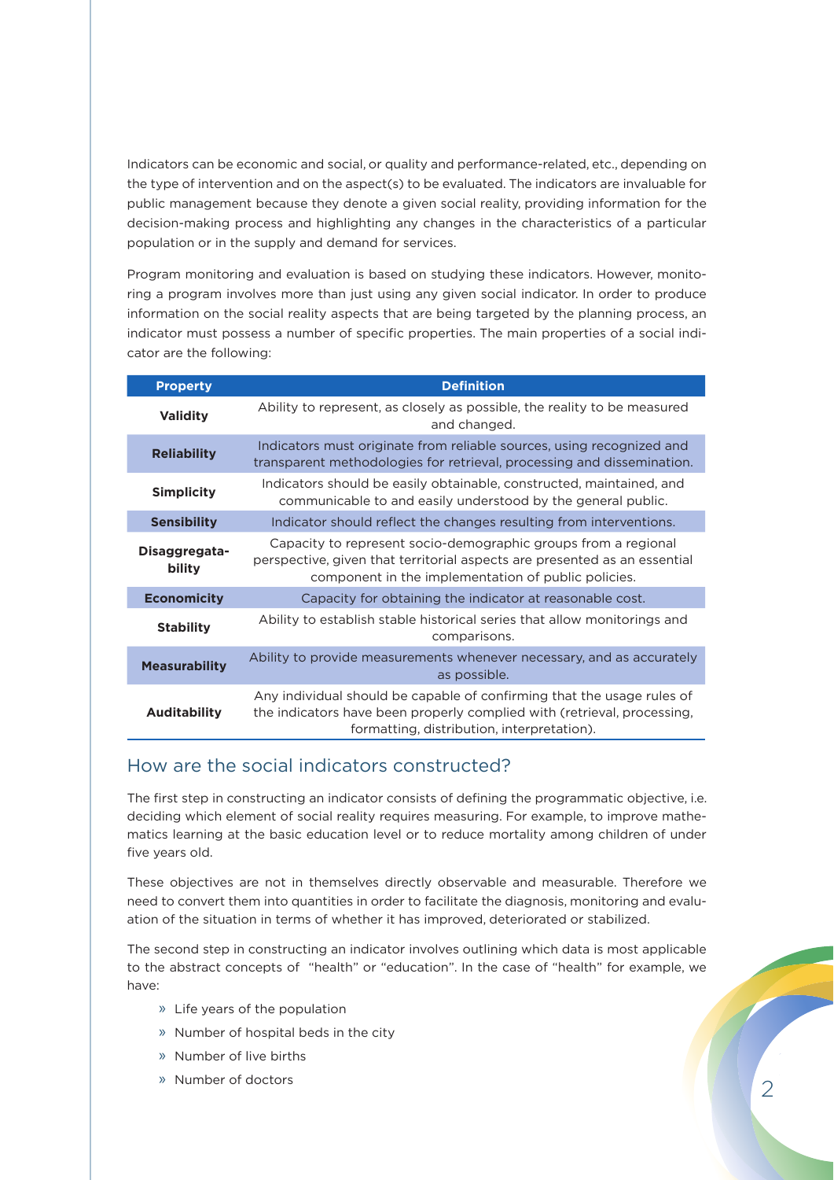Indicators can be economic and social, or quality and performance-related, etc., depending on the type of intervention and on the aspect(s) to be evaluated. The indicators are invaluable for public management because they denote a given social reality, providing information for the decision-making process and highlighting any changes in the characteristics of a particular population or in the supply and demand for services.

Program monitoring and evaluation is based on studying these indicators. However, monitoring a program involves more than just using any given social indicator. In order to produce information on the social reality aspects that are being targeted by the planning process, an indicator must possess a number of specific properties. The main properties of a social indicator are the following:

| <b>Property</b>         | <b>Definition</b>                                                                                                                                                                                  |  |  |  |  |  |
|-------------------------|----------------------------------------------------------------------------------------------------------------------------------------------------------------------------------------------------|--|--|--|--|--|
| <b>Validity</b>         | Ability to represent, as closely as possible, the reality to be measured<br>and changed.                                                                                                           |  |  |  |  |  |
| <b>Reliability</b>      | Indicators must originate from reliable sources, using recognized and<br>transparent methodologies for retrieval, processing and dissemination.                                                    |  |  |  |  |  |
| <b>Simplicity</b>       | Indicators should be easily obtainable, constructed, maintained, and<br>communicable to and easily understood by the general public.                                                               |  |  |  |  |  |
| <b>Sensibility</b>      | Indicator should reflect the changes resulting from interventions.                                                                                                                                 |  |  |  |  |  |
| Disaggregata-<br>bility | Capacity to represent socio-demographic groups from a regional<br>perspective, given that territorial aspects are presented as an essential<br>component in the implementation of public policies. |  |  |  |  |  |
| <b>Economicity</b>      | Capacity for obtaining the indicator at reasonable cost.                                                                                                                                           |  |  |  |  |  |
| <b>Stability</b>        | Ability to establish stable historical series that allow monitorings and<br>comparisons.                                                                                                           |  |  |  |  |  |
| <b>Measurability</b>    | Ability to provide measurements whenever necessary, and as accurately<br>as possible.                                                                                                              |  |  |  |  |  |
| <b>Auditability</b>     | Any individual should be capable of confirming that the usage rules of<br>the indicators have been properly complied with (retrieval, processing,<br>formatting, distribution, interpretation).    |  |  |  |  |  |

## How are the social indicators constructed?

The first step in constructing an indicator consists of defining the programmatic objective, i.e. deciding which element of social reality requires measuring. For example, to improve mathematics learning at the basic education level or to reduce mortality among children of under five years old.

These objectives are not in themselves directly observable and measurable. Therefore we need to convert them into quantities in order to facilitate the diagnosis, monitoring and evaluation of the situation in terms of whether it has improved, deteriorated or stabilized.

The second step in constructing an indicator involves outlining which data is most applicable to the abstract concepts of "health" or "education". In the case of "health" for example, we have:

- » Life years of the population
- » Number of hospital beds in the city
- » Number of live births
- » Number of doctors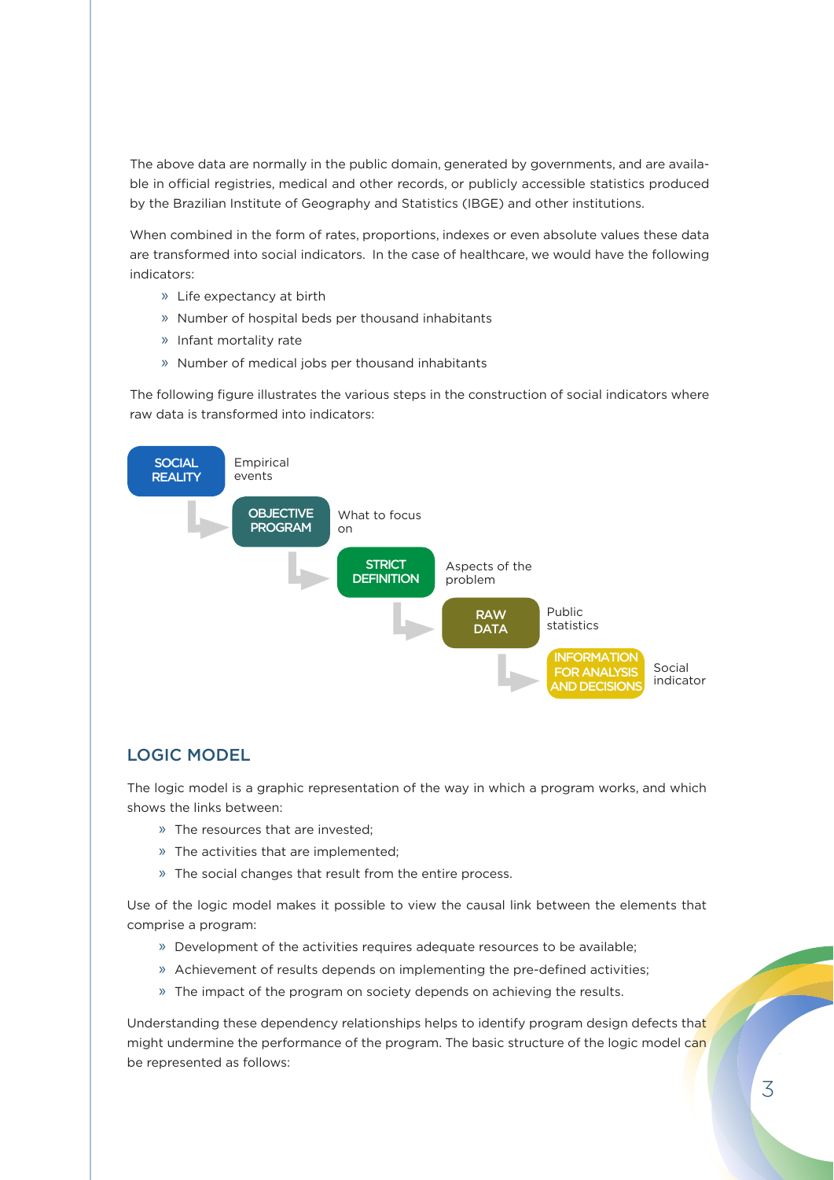The above data are normally in the public domain, generated by governments, and are available in official registries, medical and other records, or publicly accessible statistics produced by the Brazilian Institute of Geography and Statistics (IBGE) and other institutions.

When combined in the form of rates, proportions, indexes or even absolute values these data are transformed into social indicators. In the case of healthcare, we would have the following indicators:

- » Life expectancy at birth
- » Number of hospital beds per thousand inhabitants
- » Infant mortality rate
- » Number of medical jobs per thousand inhabitants

The following figure illustrates the various steps in the construction of social indicators where raw data is transformed into indicators:



#### LOGIC MODEL

The logic model is a graphic representation of the way in which a program works, and which shows the links between:

- » The resources that are invested;
- » The activities that are implemented;
- » The social changes that result from the entire process.

Use of the logic model makes it possible to view the causal link between the elements that comprise a program:

- » Development of the activities requires adequate resources to be available;
- » Achievement of results depends on implementing the pre-defined activities;
- » The impact of the program on society depends on achieving the results.

Understanding these dependency relationships helps to identify program design defects that might undermine the performance of the program. The basic structure of the logic model can be represented as follows: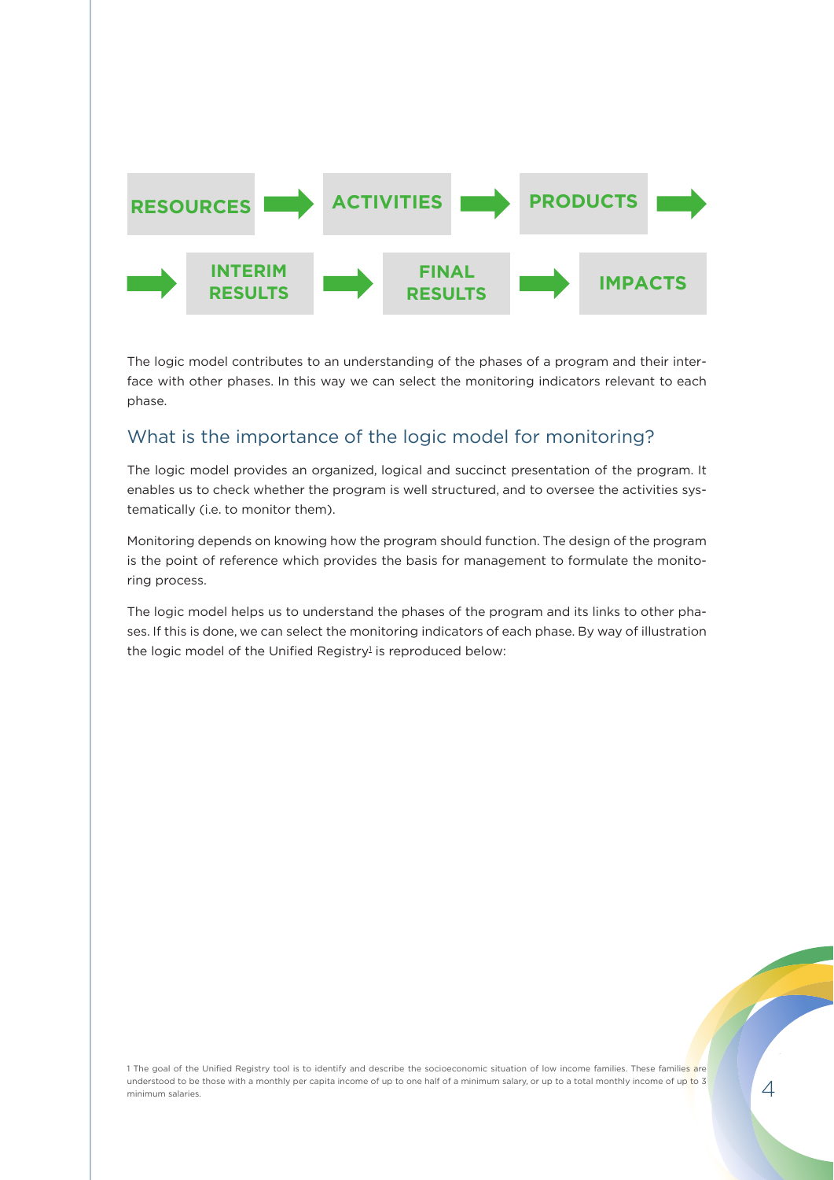

The logic model contributes to an understanding of the phases of a program and their interface with other phases. In this way we can select the monitoring indicators relevant to each phase.

# What is the importance of the logic model for monitoring?

The logic model provides an organized, logical and succinct presentation of the program. It enables us to check whether the program is well structured, and to oversee the activities systematically (i.e. to monitor them).

Monitoring depends on knowing how the program should function. The design of the program is the point of reference which provides the basis for management to formulate the monitoring process.

The logic model helps us to understand the phases of the program and its links to other phases. If this is done, we can select the monitoring indicators of each phase. By way of illustration the logic model of the Unified Registry $^{\rm l}$  is reproduced below:

1 The goal of the Unified Registry tool is to identify and describe the socioeconomic situation of low income families. These families are understood to be those with a monthly per capita income of up to one half of a minimum salary, or up to a total monthly income of up to 3 minimum salaries.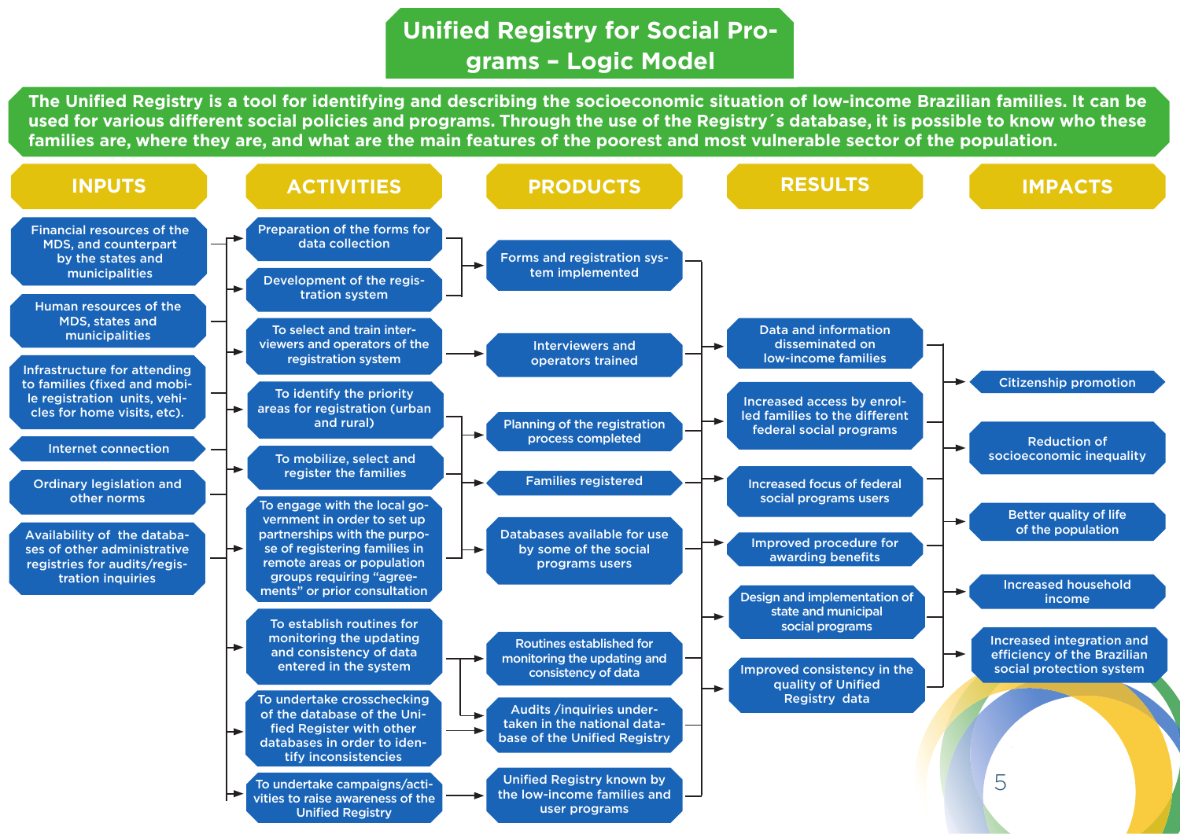# **Unified Registry for Social Programs – Logic Model**

The Unified Registry is a tool for identifying and describing the socioeconomic situation of low-income Brazilian families. It can be used for various different social policies and programs. Through the use of the Registry's database, it is possible to know who these **families are, where they are, and what are the main features of the poorest and most vulnerable sector of the population.**

| <b>INPUTS</b>                                                                                                                  |                       | <b>ACTIVITIES</b>                                                                                                                                                                                                      | <b>PRODUCTS</b>                                                                         | <b>RESULTS</b>                                                                                       | <b>IMPACTS</b>                                                                             |
|--------------------------------------------------------------------------------------------------------------------------------|-----------------------|------------------------------------------------------------------------------------------------------------------------------------------------------------------------------------------------------------------------|-----------------------------------------------------------------------------------------|------------------------------------------------------------------------------------------------------|--------------------------------------------------------------------------------------------|
| <b>Financial resources of the</b><br><b>MDS, and counterpart</b><br>by the states and<br>municipalities                        |                       | Preparation of the forms for<br>data collection<br>Development of the regis-<br>tration system                                                                                                                         | Forms and registration sys-<br>tem implemented                                          |                                                                                                      |                                                                                            |
| Human resources of the<br>MDS, states and<br>municipalities                                                                    |                       | To select and train inter-<br>viewers and operators of the<br>registration system                                                                                                                                      | <b>Interviewers and</b><br>operators trained                                            | Data and information<br>disseminated on<br><b>low-income families</b>                                |                                                                                            |
| Infrastructure for attending<br>to families (fixed and mobi-<br>le registration units, vehi-<br>cles for home visits, etc).    |                       | To identify the priority<br>areas for registration (urban<br>and rural)                                                                                                                                                | Planning of the registration<br>process completed                                       | Increased access by enrol-<br>led families to the different<br>federal social programs               | <b>Citizenship promotion</b><br><b>Reduction of</b>                                        |
| <b>Internet connection</b><br><b>Ordinary legislation and</b>                                                                  |                       | To mobilize, select and<br>register the families                                                                                                                                                                       | <b>Families registered</b>                                                              | <b>Increased focus of federal</b>                                                                    | socioeconomic inequality                                                                   |
| other norms<br>Availability of the databa-<br>ses of other administrative<br>registries for audits/regis-<br>tration inquiries |                       | To engage with the local go-<br>vernment in order to set up<br>partnerships with the purpo-<br>se of registering families in<br>remote areas or population<br>groups requiring "agree-<br>ments" or prior consultation | Databases available for use<br>by some of the social<br>programs users                  | social programs users<br>Improved procedure for<br>awarding benefits<br>Design and implementation of | <b>Better quality of life</b><br>of the population<br><b>Increased household</b><br>income |
|                                                                                                                                |                       | To establish routines for<br>monitoring the updating<br>and consistency of data<br>entered in the system                                                                                                               | Routines established for<br>monitoring the updating and<br>consistency of data          | state and municipal<br>social programs<br>Improved consistency in the<br>quality of Unified          | Increased integration and<br>efficiency of the Brazilian<br>social protection system       |
|                                                                                                                                | $\blacktriangleright$ | To undertake crosschecking<br>of the database of the Uni-<br>fied Register with other<br>databases in order to iden-<br>tify inconsistencies                                                                           | Audits /inquiries under-<br>taken in the national data-<br>base of the Unified Registry | Registry data                                                                                        |                                                                                            |
|                                                                                                                                |                       | To undertake campaigns/acti-<br>vities to raise awareness of the<br><b>Unified Registry</b>                                                                                                                            | Unified Registry known by<br>the low-income families and<br>user programs               |                                                                                                      | 5                                                                                          |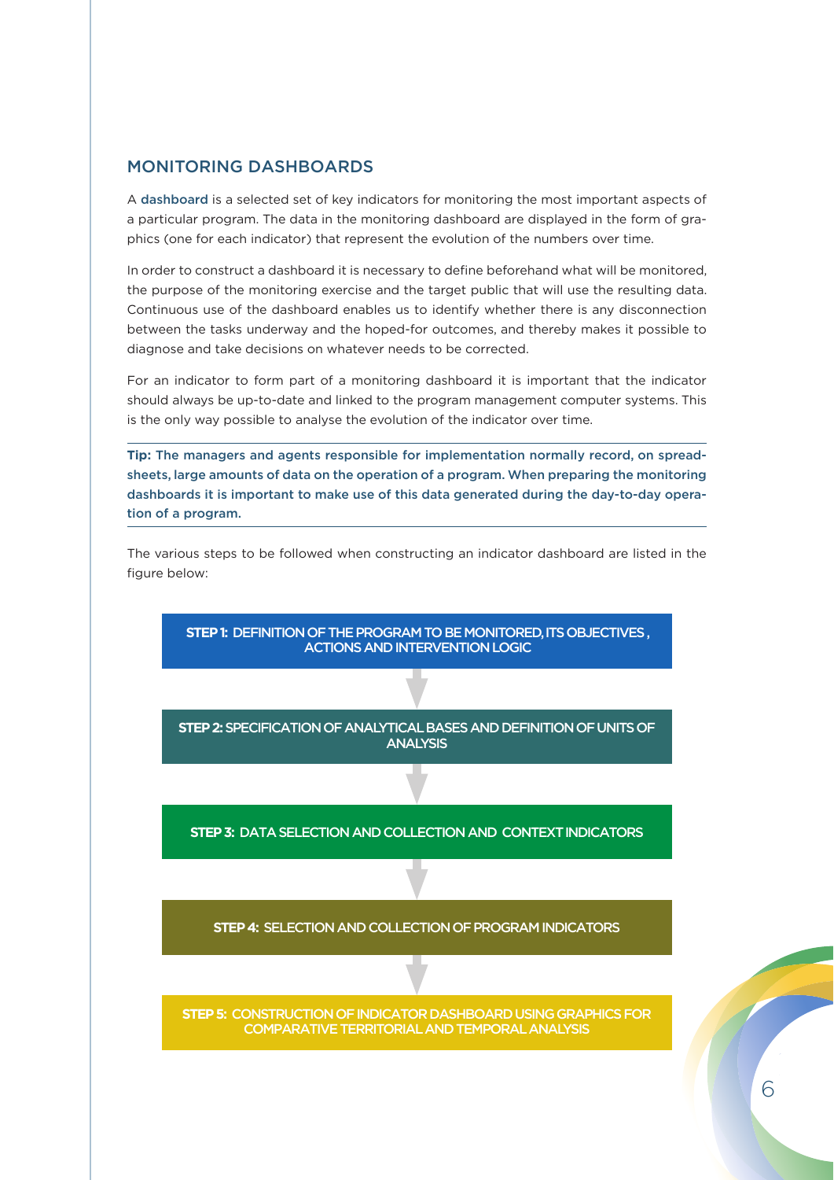#### MONITORING DASHBOARDS

A dashboard is a selected set of key indicators for monitoring the most important aspects of a particular program. The data in the monitoring dashboard are displayed in the form of graphics (one for each indicator) that represent the evolution of the numbers over time.

In order to construct a dashboard it is necessary to define beforehand what will be monitored, the purpose of the monitoring exercise and the target public that will use the resulting data. Continuous use of the dashboard enables us to identify whether there is any disconnection between the tasks underway and the hoped-for outcomes, and thereby makes it possible to diagnose and take decisions on whatever needs to be corrected.

For an indicator to form part of a monitoring dashboard it is important that the indicator should always be up-to-date and linked to the program management computer systems. This is the only way possible to analyse the evolution of the indicator over time.

**Tip:** The managers and agents responsible for implementation normally record, on spreadsheets, large amounts of data on the operation of a program. When preparing the monitoring dashboards it is important to make use of this data generated during the day-to-day operation of a program.

The various steps to be followed when constructing an indicator dashboard are listed in the figure below:

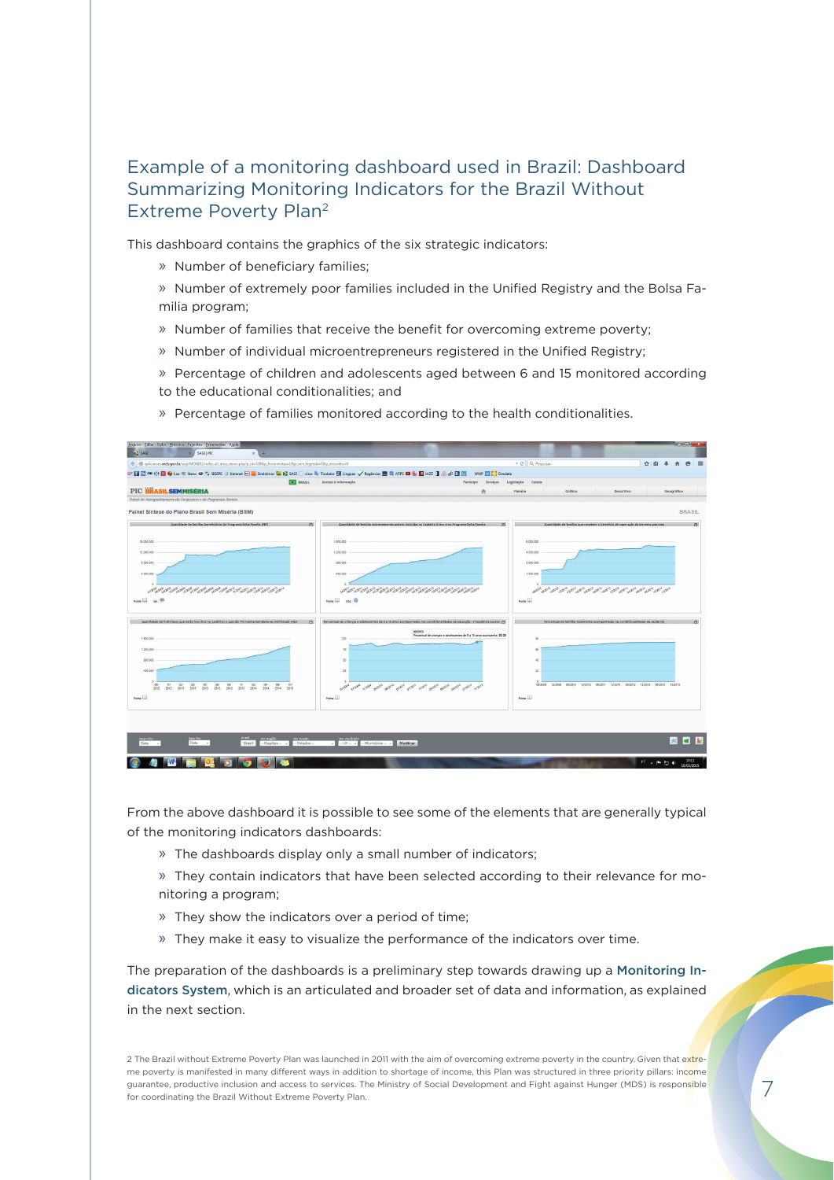# Example of a monitoring dashboard used in Brazil: Dashboard Summarizing Monitoring Indicators for the Brazil Without Extreme Poverty Plan2

This dashboard contains the graphics of the six strategic indicators:

- » Number of beneficiary families;
- » Number of extremely poor families included in the Unified Registry and the Bolsa Familia program;
- » Number of families that receive the benefit for overcoming extreme poverty;
- » Number of individual microentrepreneurs registered in the Unified Registry;
- » Percentage of children and adolescents aged between 6 and 15 monitored according
- to the educational conditionalities; and
- » Percentage of families monitored according to the health conditionalities.



From the above dashboard it is possible to see some of the elements that are generally typical of the monitoring indicators dashboards:

- » The dashboards display only a small number of indicators;
- » They contain indicators that have been selected according to their relevance for monitoring a program;
- » They show the indicators over a period of time;
- » They make it easy to visualize the performance of the indicators over time.

The preparation of the dashboards is a preliminary step towards drawing up a Monitoring Indicators System, which is an articulated and broader set of data and information, as explained in the next section.

2 The Brazil without Extreme Poverty Plan was launched in 2011 with the aim of overcoming extreme poverty in the country. Given that extreme poverty is manifested in many different ways in addition to shortage of income, this Plan was structured in three priority pillars: income guarantee, productive inclusion and access to services. The Ministry of Social Development and Fight against Hunger (MDS) is responsible for coordinating the Brazil Without Extreme Poverty Plan.

7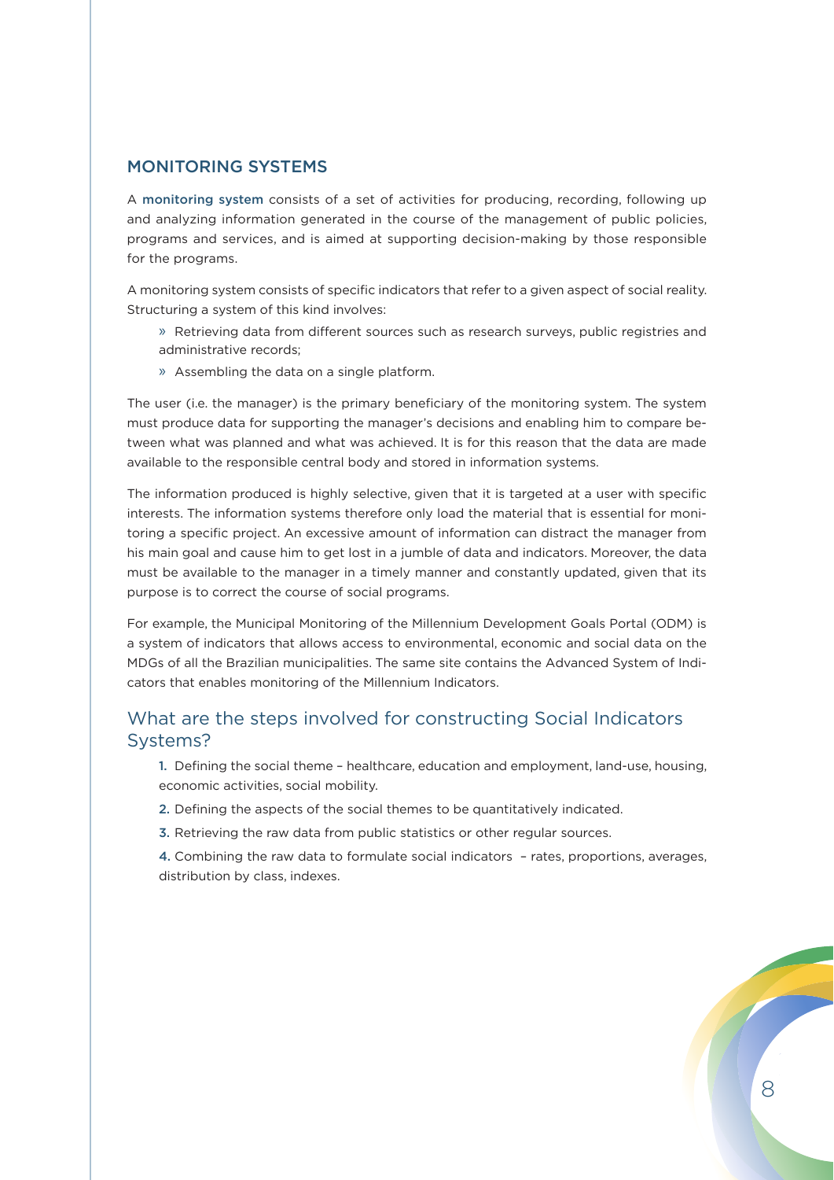#### MONITORING SYSTEMS

A monitoring system consists of a set of activities for producing, recording, following up and analyzing information generated in the course of the management of public policies, programs and services, and is aimed at supporting decision-making by those responsible for the programs.

A monitoring system consists of specific indicators that refer to a given aspect of social reality. Structuring a system of this kind involves:

- » Retrieving data from different sources such as research surveys, public registries and administrative records;
- » Assembling the data on a single platform.

The user (i.e. the manager) is the primary beneficiary of the monitoring system. The system must produce data for supporting the manager's decisions and enabling him to compare between what was planned and what was achieved. It is for this reason that the data are made available to the responsible central body and stored in information systems.

The information produced is highly selective, given that it is targeted at a user with specific interests. The information systems therefore only load the material that is essential for monitoring a specific project. An excessive amount of information can distract the manager from his main goal and cause him to get lost in a jumble of data and indicators. Moreover, the data must be available to the manager in a timely manner and constantly updated, given that its purpose is to correct the course of social programs.

For example, the Municipal Monitoring of the Millennium Development Goals Portal (ODM) is a system of indicators that allows access to environmental, economic and social data on the MDGs of all the Brazilian municipalities. The same site contains the Advanced System of Indicators that enables monitoring of the Millennium Indicators.

### What are the steps involved for constructing Social Indicators Systems?

1. Defining the social theme - healthcare, education and employment, land-use, housing, economic activities, social mobility.

- 2. Defining the aspects of the social themes to be quantitatively indicated.
- 3. Retrieving the raw data from public statistics or other regular sources.

4. Combining the raw data to formulate social indicators – rates, proportions, averages, distribution by class, indexes.